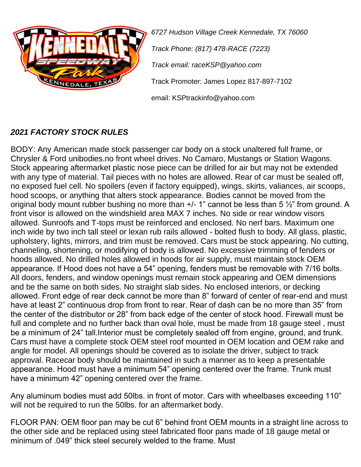

*6727 Hudson Village Creek Kennedale, TX 76060 Track Phone: (817) 478-RACE (7223) Track email: raceKSP@yahoo.com* Track Promoter: James Lopez 817-897-7102 email: KSPtrackinfo@yahoo.com

## *2021 FACTORY STOCK RULES*

BODY: Any American made stock passenger car body on a stock unaltered full frame, or Chrysler & Ford unibodies.no front wheel drives. No Camaro, Mustangs or Station Wagons. Stock appearing aftermarket plastic nose piece can be drilled for air but may not be extended with any type of material. Tail pieces with no holes are allowed. Rear of car must be sealed off, no exposed fuel cell. No spoilers (even if factory equipped), wings, skirts, valiances, air scoops, hood scoops, or anything that alters stock appearance. Bodies cannot be moved from the original body mount rubber bushing no more than  $+/- 1$ " cannot be less than 5  $\frac{1}{2}$ " from ground. A front visor is allowed on the windshield area MAX 7 inches. No side or rear window visors allowed. Sunroofs and T-tops must be reinforced and enclosed. No nerf bars. Maximum one inch wide by two inch tall steel or lexan rub rails allowed - bolted flush to body. All glass, plastic, upholstery, lights, mirrors, and trim must be removed. Cars must be stock appearing. No cutting, channeling, shortening, or modifying of body is allowed. No excessive trimming of fenders or hoods allowed, No drilled holes allowed in hoods for air supply, must maintain stock OEM appearance. If Hood does not have a 54" opening, fenders must be removable with 7/16 bolts. All doors, fenders, and window openings must remain stock appearing and OEM dimensions and be the same on both sides. No straight slab sides. No enclosed interiors, or decking allowed. Front edge of rear deck cannot be more than 8" forward of center of rear-end and must have at least 2" continuous drop from front to rear. Rear of dash can be no more than 35" from the center of the distributor or 28" from back edge of the center of stock hood. Firewall must be full and complete and no further back than oval hole, must be made from 18 gauge steel, must be a minimum of 24" tall.Interior must be completely sealed off from engine, ground, and trunk. Cars must have a complete stock OEM steel roof mounted in OEM location and OEM rake and angle for model. All openings should be covered as to isolate the driver, subject to track approval. Racecar body should be maintained in such a manner as to keep a presentable appearance. Hood must have a minimum 54" opening centered over the frame. Trunk must have a minimum 42" opening centered over the frame.

Any aluminum bodies must add 50lbs. in front of motor. Cars with wheelbases exceeding 110" will not be required to run the 50lbs. for an aftermarket body.

FLOOR PAN: OEM floor pan may be cut 6" behind front OEM mounts in a straight line across to the other side and be replaced using steel fabricated floor pans made of 18 gauge metal or minimum of .049" thick steel securely welded to the frame. Must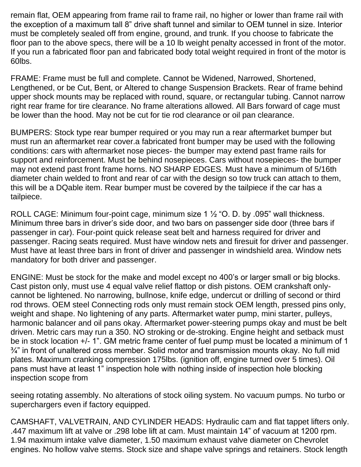remain flat, OEM appearing from frame rail to frame rail, no higher or lower than frame rail with the exception of a maximum tall 8" drive shaft tunnel and similar to OEM tunnel in size. Interior must be completely sealed off from engine, ground, and trunk. If you choose to fabricate the floor pan to the above specs, there will be a 10 lb weight penalty accessed in front of the motor. If you run a fabricated floor pan and fabricated body total weight required in front of the motor is 60lbs.

FRAME: Frame must be full and complete. Cannot be Widened, Narrowed, Shortened, Lengthened, or be Cut, Bent, or Altered to change Suspension Brackets. Rear of frame behind upper shock mounts may be replaced with round, square, or rectangular tubing. Cannot narrow right rear frame for tire clearance. No frame alterations allowed. All Bars forward of cage must be lower than the hood. May not be cut for tie rod clearance or oil pan clearance.

BUMPERS: Stock type rear bumper required or you may run a rear aftermarket bumper but must run an aftermarket rear cover.a fabricated front bumper may be used with the following conditions: cars with aftermarket nose pieces- the bumper may extend past frame rails for support and reinforcement. Must be behind nosepieces. Cars without nosepieces- the bumper may not extend past front frame horns. NO SHARP EDGES. Must have a minimum of 5/16th diameter chain welded to front and rear of car with the design so tow truck can attach to them, this will be a DQable item. Rear bumper must be covered by the tailpiece if the car has a tailpiece.

ROLL CAGE: Minimum four-point cage, minimum size 1  $\frac{1}{2}$  "O. D. by .095" wall thickness. Minimum three bars in driver's side door, and two bars on passenger side door (three bars if passenger in car). Four-point quick release seat belt and harness required for driver and passenger. Racing seats required. Must have window nets and firesuit for driver and passenger. Must have at least three bars in front of driver and passenger in windshield area. Window nets mandatory for both driver and passenger.

ENGINE: Must be stock for the make and model except no 400's or larger small or big blocks. Cast piston only, must use 4 equal valve relief flattop or dish pistons. OEM crankshaft onlycannot be lightened. No narrowing, bullnose, knife edge, undercut or drilling of second or third rod throws. OEM steel Connecting rods only must remain stock OEM length, pressed pins only, weight and shape. No lightening of any parts. Aftermarket water pump, mini starter, pulleys, harmonic balancer and oil pans okay. Aftermarket power-steering pumps okay and must be belt driven. Metric cars may run a 350. NO stroking or de-stroking. Engine height and setback must be in stock location +/- 1". GM metric frame center of fuel pump must be located a minimum of 1  $\frac{3}{4}$ " in front of unaltered cross member. Solid motor and transmission mounts okay. No full mid plates. Maximum cranking compression 175lbs. (ignition off, engine turned over 5 times). Oil pans must have at least 1" inspection hole with nothing inside of inspection hole blocking inspection scope from

seeing rotating assembly. No alterations of stock oiling system. No vacuum pumps. No turbo or superchargers even if factory equipped.

CAMSHAFT, VALVETRAIN, AND CYLINDER HEADS: Hydraulic cam and flat tappet lifters only. .447 maximum lift at valve or .298 lobe lift at cam. Must maintain 14" of vacuum at 1200 rpm. 1.94 maximum intake valve diameter, 1.50 maximum exhaust valve diameter on Chevrolet engines. No hollow valve stems. Stock size and shape valve springs and retainers. Stock length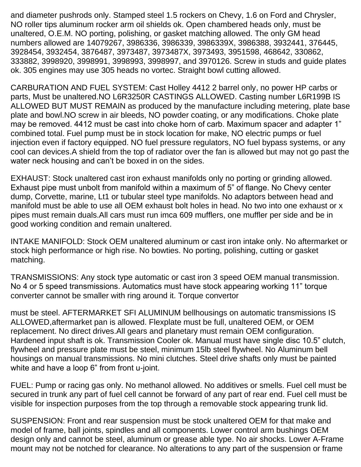and diameter pushrods only. Stamped steel 1.5 rockers on Chevy, 1.6 on Ford and Chrysler, NO roller tips aluminum rocker arm oil shields ok. Open chambered heads only, must be unaltered, O.E.M. NO porting, polishing, or gasket matching allowed. The only GM head numbers allowed are 14079267, 3986336, 3986339, 3986339X, 3986388, 3932441, 376445, 3928454, 3932454, 3876487, 3973487, 3973487X, 3973493, 3951598, 468642, 330862, 333882, 3998920, 3998991, 3998993, 3998997, and 3970126. Screw in studs and guide plates ok. 305 engines may use 305 heads no vortec. Straight bowl cutting allowed.

CARBURATION AND FUEL SYSTEM: Cast Holley 4412 2 barrel only, no power HP carbs or parts, Must be unaltered.NO L6R3250R CASTINGS ALLOWED. Casting number L6R199B IS ALLOWED BUT MUST REMAIN as produced by the manufacture including metering, plate base plate and bowl.NO screw in air bleeds, NO powder coating, or any modifications. Choke plate may be removed. 4412 must be cast into choke horn of carb. Maximum spacer and adapter 1" combined total. Fuel pump must be in stock location for make, NO electric pumps or fuel injection even if factory equipped. NO fuel pressure regulators, NO fuel bypass systems, or any cool can devices.A shield from the top of radiator over the fan is allowed but may not go past the water neck housing and can't be boxed in on the sides.

EXHAUST: Stock unaltered cast iron exhaust manifolds only no porting or grinding allowed. Exhaust pipe must unbolt from manifold within a maximum of 5" of flange. No Chevy center dump, Corvette, marine, Lt1 or tubular steel type manifolds. No adaptors between head and manifold must be able to use all OEM exhaust bolt holes in head. No two into one exhaust or x pipes must remain duals.All cars must run imca 609 mufflers, one muffler per side and be in good working condition and remain unaltered.

INTAKE MANIFOLD: Stock OEM unaltered aluminum or cast iron intake only. No aftermarket or stock high performance or high rise. No bowties. No porting, polishing, cutting or gasket matching.

TRANSMISSIONS: Any stock type automatic or cast iron 3 speed OEM manual transmission. No 4 or 5 speed transmissions. Automatics must have stock appearing working 11" torque converter cannot be smaller with ring around it. Torque convertor

must be steel. AFTERMARKET SFI ALUMINUM bellhousings on automatic transmissions IS ALLOWED,aftermarket pan is allowed. Flexplate must be full, unaltered OEM, or OEM replacement. No direct drives.All gears and planetary must remain OEM configuration. Hardened input shaft is ok. Transmission Cooler ok. Manual must have single disc 10.5" clutch, flywheel and pressure plate must be steel, minimum 15lb steel flywheel. No Aluminum bell housings on manual transmissions. No mini clutches. Steel drive shafts only must be painted white and have a loop 6" from front u-joint.

FUEL: Pump or racing gas only. No methanol allowed. No additives or smells. Fuel cell must be secured in trunk any part of fuel cell cannot be forward of any part of rear end. Fuel cell must be visible for inspection purposes from the top through a removable stock appearing trunk lid.

SUSPENSION: Front and rear suspension must be stock unaltered OEM for that make and model of frame, ball joints, spindles and all components. Lower control arm bushings OEM design only and cannot be steel, aluminum or grease able type. No air shocks. Lower A-Frame mount may not be notched for clearance. No alterations to any part of the suspension or frame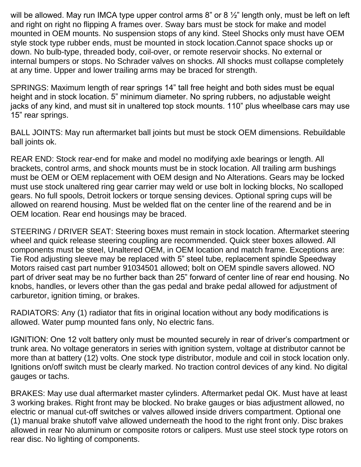will be allowed. May run IMCA type upper control arms 8" or 8  $\frac{1}{2}$ " length only, must be left on left and right on right no flipping A frames over. Sway bars must be stock for make and model mounted in OEM mounts. No suspension stops of any kind. Steel Shocks only must have OEM style stock type rubber ends, must be mounted in stock location.Cannot space shocks up or down. No bulb-type, threaded body, coil-over, or remote reservoir shocks. No external or internal bumpers or stops. No Schrader valves on shocks. All shocks must collapse completely at any time. Upper and lower trailing arms may be braced for strength.

SPRINGS: Maximum length of rear springs 14" tall free height and both sides must be equal height and in stock location. 5" minimum diameter. No spring rubbers, no adjustable weight jacks of any kind, and must sit in unaltered top stock mounts. 110" plus wheelbase cars may use 15" rear springs.

BALL JOINTS: May run aftermarket ball joints but must be stock OEM dimensions. Rebuildable ball joints ok.

REAR END: Stock rear-end for make and model no modifying axle bearings or length. All brackets, control arms, and shock mounts must be in stock location. All trailing arm bushings must be OEM or OEM replacement with OEM design and No Alterations. Gears may be locked must use stock unaltered ring gear carrier may weld or use bolt in locking blocks, No scalloped gears. No full spools, Detroit lockers or torque sensing devices. Optional spring cups will be allowed on rearend housing. Must be welded flat on the center line of the rearend and be in OEM location. Rear end housings may be braced.

STEERING / DRIVER SEAT: Steering boxes must remain in stock location. Aftermarket steering wheel and quick release steering coupling are recommended. Quick steer boxes allowed. All components must be steel, Unaltered OEM, in OEM location and match frame. Exceptions are: Tie Rod adjusting sleeve may be replaced with 5" steel tube, replacement spindle Speedway Motors raised cast part number 91034501 allowed; bolt on OEM spindle savers allowed. NO part of driver seat may be no further back than 25" forward of center line of rear end housing. No knobs, handles, or levers other than the gas pedal and brake pedal allowed for adjustment of carburetor, ignition timing, or brakes.

RADIATORS: Any (1) radiator that fits in original location without any body modifications is allowed. Water pump mounted fans only, No electric fans.

IGNITION: One 12 volt battery only must be mounted securely in rear of driver's compartment or trunk area. No voltage generators in series with ignition system, voltage at distributor cannot be more than at battery (12) volts. One stock type distributor, module and coil in stock location only. Ignitions on/off switch must be clearly marked. No traction control devices of any kind. No digital gauges or tachs.

BRAKES: May use dual aftermarket master cylinders. Aftermarket pedal OK. Must have at least 3 working brakes. Right front may be blocked. No brake gauges or bias adjustment allowed, no electric or manual cut-off switches or valves allowed inside drivers compartment. Optional one (1) manual brake shutoff valve allowed underneath the hood to the right front only. Disc brakes allowed in rear No aluminum or composite rotors or calipers. Must use steel stock type rotors on rear disc. No lighting of components.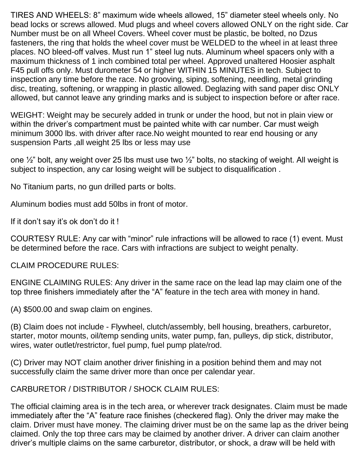TIRES AND WHEELS: 8" maximum wide wheels allowed, 15" diameter steel wheels only. No bead locks or screws allowed. Mud plugs and wheel covers allowed ONLY on the right side. Car Number must be on all Wheel Covers. Wheel cover must be plastic, be bolted, no Dzus fasteners, the ring that holds the wheel cover must be WELDED to the wheel in at least three places. NO bleed-off valves. Must run 1" steel lug nuts. Aluminum wheel spacers only with a maximum thickness of 1 inch combined total per wheel. Approved unaltered Hoosier asphalt F45 pull offs only. Must durometer 54 or higher WITHIN 15 MINUTES in tech. Subject to inspection any time before the race. No grooving, siping, softening, needling, metal grinding disc, treating, softening, or wrapping in plastic allowed. Deglazing with sand paper disc ONLY allowed, but cannot leave any grinding marks and is subject to inspection before or after race.

WEIGHT: Weight may be securely added in trunk or under the hood, but not in plain view or within the driver's compartment must be painted white with car number. Car must weigh minimum 3000 lbs. with driver after race.No weight mounted to rear end housing or any suspension Parts ,all weight 25 lbs or less may use

one  $\frac{1}{2}$ " bolt, any weight over 25 lbs must use two  $\frac{1}{2}$ " bolts, no stacking of weight. All weight is subject to inspection, any car losing weight will be subject to disqualification .

No Titanium parts, no gun drilled parts or bolts.

Aluminum bodies must add 50lbs in front of motor.

If it don't say it's ok don't do it !

COURTESY RULE: Any car with "minor" rule infractions will be allowed to race (1) event. Must be determined before the race. Cars with infractions are subject to weight penalty.

CLAIM PROCEDURE RULES:

ENGINE CLAIMING RULES: Any driver in the same race on the lead lap may claim one of the top three finishers immediately after the "A" feature in the tech area with money in hand.

(A) \$500.00 and swap claim on engines.

(B) Claim does not include - Flywheel, clutch/assembly, bell housing, breathers, carburetor, starter, motor mounts, oil/temp sending units, water pump, fan, pulleys, dip stick, distributor, wires, water outlet/restrictor, fuel pump, fuel pump plate/rod.

(C) Driver may NOT claim another driver finishing in a position behind them and may not successfully claim the same driver more than once per calendar year.

CARBURETOR / DISTRIBUTOR / SHOCK CLAIM RULES:

The official claiming area is in the tech area, or wherever track designates. Claim must be made immediately after the "A" feature race finishes (checkered flag). Only the driver may make the claim. Driver must have money. The claiming driver must be on the same lap as the driver being claimed. Only the top three cars may be claimed by another driver. A driver can claim another driver's multiple claims on the same carburetor, distributor, or shock, a draw will be held with